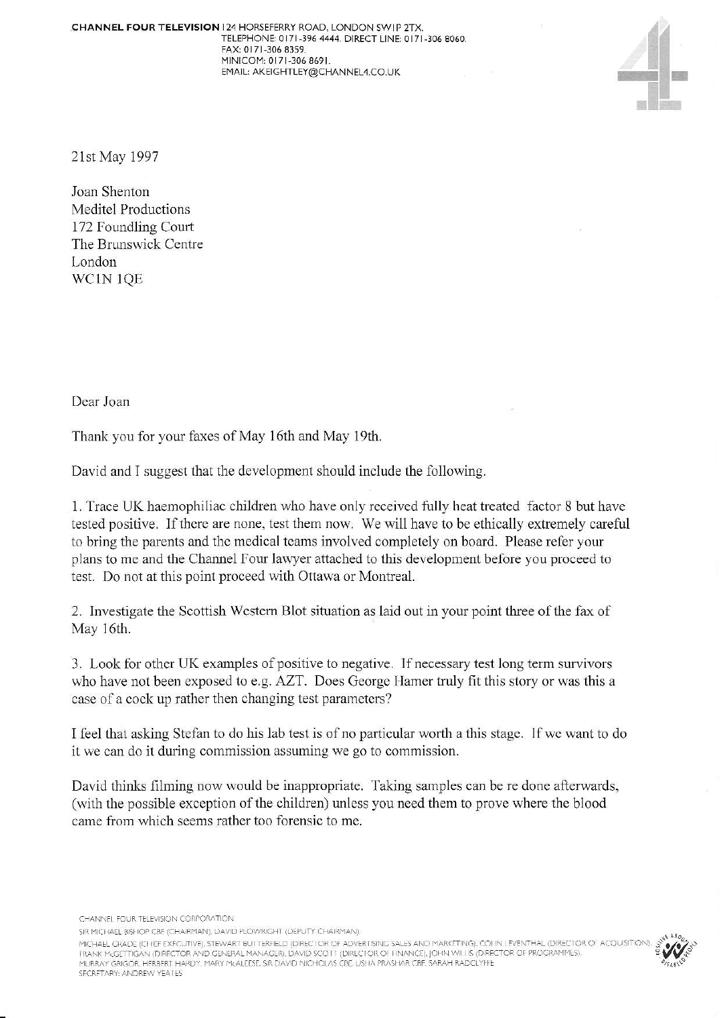**CHANNEL FOUR TELEVISION 124 HORSEFERRY ROAD, LONDON SWIP 2TX.** TELEPHONE: 0171-396 4444. DIRECT LINE: 0171-306 8060. FAX:0i71 306 3359 MINICOM: 0171-306 8691.<br>EMAIL: AKEIGHTLEY@CHANNEL4.CO.UK EMAIL: AKEIGHTLEY@CHANNEL4.CO.UK<br>EMAIL: AKEIGHTLEY@CHANNEL4.CO.UK



21st May 1997

Joan Shenton Meditel Productions 172 Foundling Cout The Brunswick Centre London wclN lQE

Dear.loan

Thank you for your faxes of May 16th and May 19th.

David and I suggest that the development should include the following.

1. Trace UK haemophiliac children who have only received fully heat treated factor 8 but have tested positive. If there are none, test them now. We will have to be ethically extremely careful to bring the parents and the medical teams involved completely on board. Please refer your plans to me and the Channel Four lawyer attached to this development before you proceed to test. Do not at this point proceed with Ottawa or Montreal.

2. Investigate the Scottish Western Blot situation as laid out in your point three of the fax of May 16th.

3. Look for other UK examples of positive to negative. If necessary test long term survivors who have not been exposed to e.g. AZT. Does George Hamer truly fit this story or was this a case of a cock up rather then changing test parameters?

I feel that asking Stefan to do his lab test is of no particular worth a this stage. If we want to do it we can do it during commission assuming we go to commission.

David thinks filming now would be inappropriate. Taking samples can be re done afterwards, (with the possible exception of the children) unless you need them to prove where the blood came from which seems rather too forensic to me.

CHANNEL FOUR TELEVISION CORPORATION

SIR MICHAEL BISHOP CBE (CHAIRMAN), DAVID PLOWRIGHT (DEPUTY CHAIRMAN).

MICHAEL GRADE (CHIEF EXFCUTIVE), STEWART BUTTERFIELD (DIRECTOR OF ADVERTISING SALES AND MARKETING), COLIN LEVENTHAL (DIRECTOR OF ACQUISITION)<br>FRANK McGETTIGAN (DIRECTOR AND GENERAL MANAGER), DAVID SCOTT (DIRECTOR OF HNANCE SFCRETARY: ANDREW YEATES